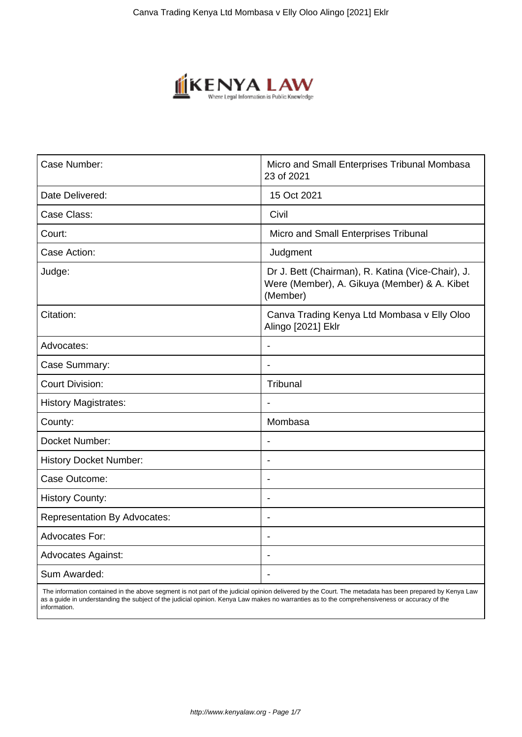

| Case Number:                        | Micro and Small Enterprises Tribunal Mombasa<br>23 of 2021                                                    |
|-------------------------------------|---------------------------------------------------------------------------------------------------------------|
| Date Delivered:                     | 15 Oct 2021                                                                                                   |
| Case Class:                         | Civil                                                                                                         |
| Court:                              | Micro and Small Enterprises Tribunal                                                                          |
| Case Action:                        | Judgment                                                                                                      |
| Judge:                              | Dr J. Bett (Chairman), R. Katina (Vice-Chair), J.<br>Were (Member), A. Gikuya (Member) & A. Kibet<br>(Member) |
| Citation:                           | Canva Trading Kenya Ltd Mombasa v Elly Oloo<br>Alingo [2021] Eklr                                             |
| Advocates:                          | Ĭ.                                                                                                            |
| Case Summary:                       | $\blacksquare$                                                                                                |
| <b>Court Division:</b>              | Tribunal                                                                                                      |
| <b>History Magistrates:</b>         |                                                                                                               |
| County:                             | Mombasa                                                                                                       |
| Docket Number:                      | Ĭ.                                                                                                            |
| <b>History Docket Number:</b>       | $\blacksquare$                                                                                                |
| Case Outcome:                       | $\blacksquare$                                                                                                |
| <b>History County:</b>              | Ĭ.                                                                                                            |
| <b>Representation By Advocates:</b> | $\blacksquare$                                                                                                |
| <b>Advocates For:</b>               |                                                                                                               |
| <b>Advocates Against:</b>           |                                                                                                               |
| Sum Awarded:                        | $\blacksquare$                                                                                                |

 The information contained in the above segment is not part of the judicial opinion delivered by the Court. The metadata has been prepared by Kenya Law as a guide in understanding the subject of the judicial opinion. Kenya Law makes no warranties as to the comprehensiveness or accuracy of the information.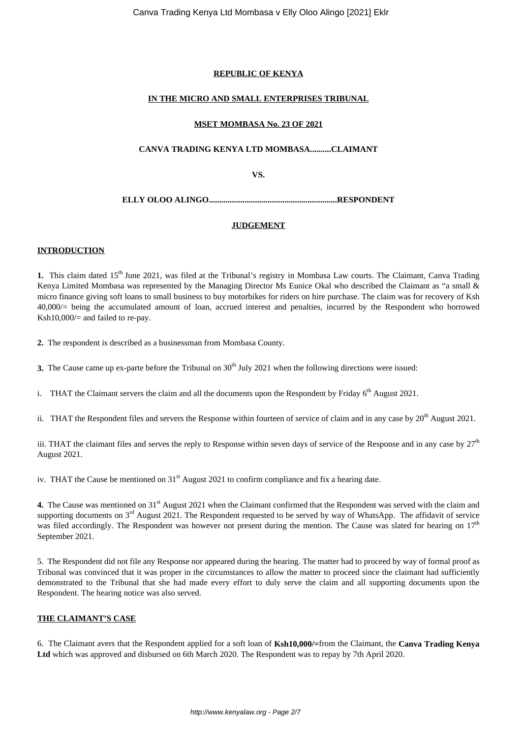# **REPUBLIC OF KENYA**

## **IN THE MICRO AND SMALL ENTERPRISES TRIBUNAL**

#### **MSET MOMBASA No. 23 OF 2021**

#### **CANVA TRADING KENYA LTD MOMBASA..........CLAIMANT**

**VS.**

**ELLY OLOO ALINGO.............................................................RESPONDENT**

#### **JUDGEMENT**

#### **INTRODUCTION**

**1.** This claim dated 15th June 2021, was filed at the Tribunal's registry in Mombasa Law courts. The Claimant, Canva Trading Kenya Limited Mombasa was represented by the Managing Director Ms Eunice Okal who described the Claimant as "a small & micro finance giving soft loans to small business to buy motorbikes for riders on hire purchase. The claim was for recovery of Ksh 40,000/= being the accumulated amount of loan, accrued interest and penalties, incurred by the Respondent who borrowed Ksh10,000/= and failed to re-pay.

**2.** The respondent is described as a businessman from Mombasa County.

**3.** The Cause came up ex-parte before the Tribunal on 30<sup>th</sup> July 2021 when the following directions were issued:

i. THAT the Claimant servers the claim and all the documents upon the Respondent by Friday  $6<sup>th</sup>$  August 2021.

ii. THAT the Respondent files and servers the Response within fourteen of service of claim and in any case by  $20<sup>th</sup>$  August 2021.

iii. THAT the claimant files and serves the reply to Response within seven days of service of the Response and in any case by  $27<sup>th</sup>$ August 2021.

iv. THAT the Cause be mentioned on  $31<sup>st</sup>$  August 2021 to confirm compliance and fix a hearing date.

**4.** The Cause was mentioned on 31<sup>st</sup> August 2021 when the Claimant confirmed that the Respondent was served with the claim and supporting documents on 3<sup>rd</sup> August 2021. The Respondent requested to be served by way of WhatsApp. The affidavit of service was filed accordingly. The Respondent was however not present during the mention. The Cause was slated for hearing on  $17<sup>th</sup>$ September 2021.

5. The Respondent did not file any Response nor appeared during the hearing. The matter had to proceed by way of formal proof as Tribunal was convinced that it was proper in the circumstances to allow the matter to proceed since the claimant had sufficiently demonstrated to the Tribunal that she had made every effort to duly serve the claim and all supporting documents upon the Respondent. The hearing notice was also served.

#### **THE CLAIMANT'S CASE**

6. The Claimant avers that the Respondent applied for a soft loan of **Ksh10,000/=**from the Claimant, the **Canva Trading Kenya Ltd** which was approved and disbursed on 6th March 2020. The Respondent was to repay by 7th April 2020.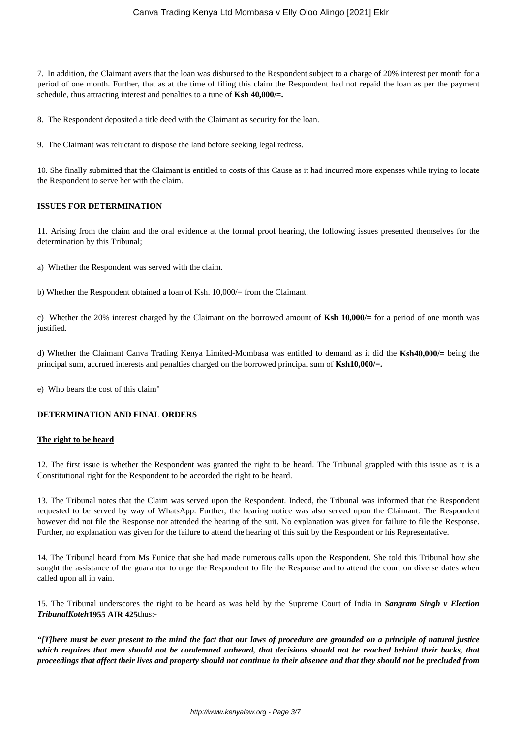7. In addition, the Claimant avers that the loan was disbursed to the Respondent subject to a charge of 20% interest per month for a period of one month. Further, that as at the time of filing this claim the Respondent had not repaid the loan as per the payment schedule, thus attracting interest and penalties to a tune of **Ksh 40,000/=.**

8. The Respondent deposited a title deed with the Claimant as security for the loan.

9. The Claimant was reluctant to dispose the land before seeking legal redress.

10. She finally submitted that the Claimant is entitled to costs of this Cause as it had incurred more expenses while trying to locate the Respondent to serve her with the claim.

#### **ISSUES FOR DETERMINATION**

11. Arising from the claim and the oral evidence at the formal proof hearing, the following issues presented themselves for the determination by this Tribunal;

a) Whether the Respondent was served with the claim.

b) Whether the Respondent obtained a loan of Ksh. 10,000/= from the Claimant.

c) Whether the 20% interest charged by the Claimant on the borrowed amount of **Ksh 10,000/=** for a period of one month was justified.

d) Whether the Claimant Canva Trading Kenya Limited-Mombasa was entitled to demand as it did the **Ksh40,000/=** being the principal sum, accrued interests and penalties charged on the borrowed principal sum of **Ksh10,000/=.**

e) Who bears the cost of this claim"

#### **DETERMINATION AND FINAL ORDERS**

#### **The right to be heard**

12. The first issue is whether the Respondent was granted the right to be heard. The Tribunal grappled with this issue as it is a Constitutional right for the Respondent to be accorded the right to be heard.

13. The Tribunal notes that the Claim was served upon the Respondent. Indeed, the Tribunal was informed that the Respondent requested to be served by way of WhatsApp. Further, the hearing notice was also served upon the Claimant. The Respondent however did not file the Response nor attended the hearing of the suit. No explanation was given for failure to file the Response. Further, no explanation was given for the failure to attend the hearing of this suit by the Respondent or his Representative.

14. The Tribunal heard from Ms Eunice that she had made numerous calls upon the Respondent. She told this Tribunal how she sought the assistance of the guarantor to urge the Respondent to file the Response and to attend the court on diverse dates when called upon all in vain.

15. The Tribunal underscores the right to be heard as was held by the Supreme Court of India in *Sangram Singh v Election TribunalKoteh***1955 AIR 425**thus:-

*"[T]here must be ever present to the mind the fact that our laws of procedure are grounded on a principle of natural justice which requires that men should not be condemned unheard, that decisions should not be reached behind their backs, that proceedings that affect their lives and property should not continue in their absence and that they should not be precluded from*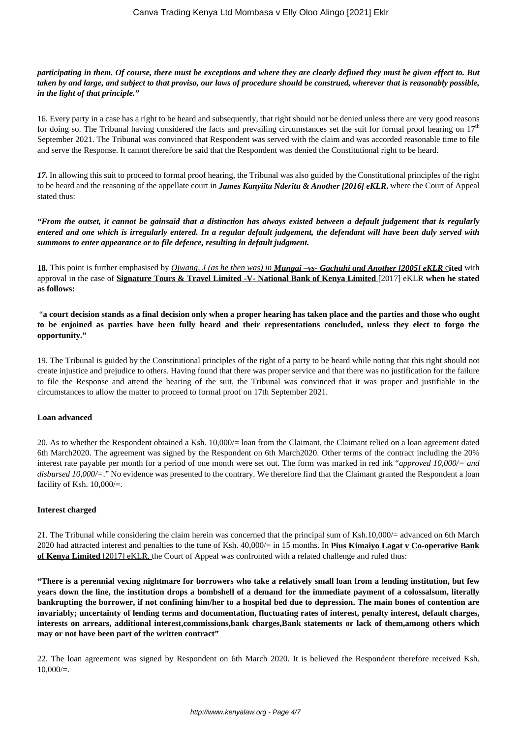## *participating in them. Of course, there must be exceptions and where they are clearly defined they must be given effect to. But taken by and large, and subject to that proviso, our laws of procedure should be construed, wherever that is reasonably possible, in the light of that principle."*

16. Every party in a case has a right to be heard and subsequently, that right should not be denied unless there are very good reasons for doing so. The Tribunal having considered the facts and prevailing circumstances set the suit for formal proof hearing on  $17<sup>th</sup>$ September 2021. The Tribunal was convinced that Respondent was served with the claim and was accorded reasonable time to file and serve the Response. It cannot therefore be said that the Respondent was denied the Constitutional right to be heard.

*17.* In allowing this suit to proceed to formal proof hearing, the Tribunal was also guided by the Constitutional principles of the right to be heard and the reasoning of the appellate court in *James Kanyiita Nderitu & Another [2016] eKLR*, where the Court of Appeal stated thus:

*"From the outset, it cannot be gainsaid that a distinction has always existed between a default judgement that is regularly entered and one which is irregularly entered. In a regular default judgement, the defendant will have been duly served with summons to enter appearance or to file defence, resulting in default judgment.*

**18.** This point is further emphasised by *Ojwang, J (as he then was) in Mungai –vs- Gachuhi and Another [2005] eKLR* c**ited** with approval in the case of **Signature Tours & Travel Limited -V- National Bank of Kenya Limited** [2017] eKLR **when he stated as follows:** 

"**a court decision stands as a final decision only when a proper hearing has taken place and the parties and those who ought to be enjoined as parties have been fully heard and their representations concluded, unless they elect to forgo the opportunity."**

19. The Tribunal is guided by the Constitutional principles of the right of a party to be heard while noting that this right should not create injustice and prejudice to others. Having found that there was proper service and that there was no justification for the failure to file the Response and attend the hearing of the suit, the Tribunal was convinced that it was proper and justifiable in the circumstances to allow the matter to proceed to formal proof on 17th September 2021.

#### **Loan advanced**

20. As to whether the Respondent obtained a Ksh. 10,000/= loan from the Claimant, the Claimant relied on a loan agreement dated 6th March2020. The agreement was signed by the Respondent on 6th March2020. Other terms of the contract including the 20% interest rate payable per month for a period of one month were set out. The form was marked in red ink "*approved 10,000/= and disbursed 10,000/=*." No evidence was presented to the contrary. We therefore find that the Claimant granted the Respondent a loan facility of Ksh. 10,000/=.

#### **Interest charged**

21. The Tribunal while considering the claim herein was concerned that the principal sum of Ksh.10,000/= advanced on 6th March 2020 had attracted interest and penalties to the tune of Ksh. 40,000/= in 15 months. In **Pius Kimaiyo Lagat v Co-operative Bank of Kenya Limited** [2017] eKLR, the Court of Appeal was confronted with a related challenge and ruled thus:

**"There is a perennial vexing nightmare for borrowers who take a relatively small loan from a lending institution, but few years down the line, the institution drops a bombshell of a demand for the immediate payment of a colossalsum, literally bankrupting the borrower, if not confining him/her to a hospital bed due to depression. The main bones of contention are invariably; uncertainty of lending terms and documentation, fluctuating rates of interest, penalty interest, default charges, interests on arrears, additional interest,commissions,bank charges,Bank statements or lack of them,among others which may or not have been part of the written contract"**

22. The loan agreement was signed by Respondent on 6th March 2020. It is believed the Respondent therefore received Ksh.  $10,000/=$ .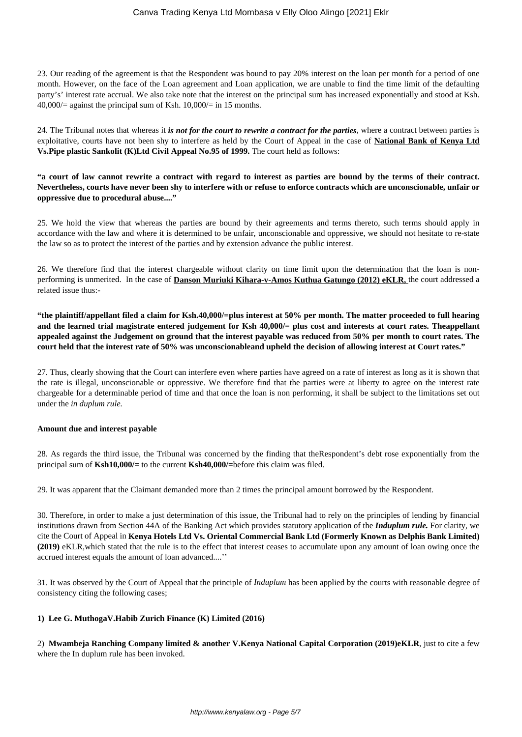23. Our reading of the agreement is that the Respondent was bound to pay 20% interest on the loan per month for a period of one month. However, on the face of the Loan agreement and Loan application, we are unable to find the time limit of the defaulting party's' interest rate accrual. We also take note that the interest on the principal sum has increased exponentially and stood at Ksh.  $40,000/$  against the principal sum of Ksh.  $10,000/$  = in 15 months.

24. The Tribunal notes that whereas it *is not for the court to rewrite a contract for the parties*, where a contract between parties is exploitative, courts have not been shy to interfere as held by the Court of Appeal in the case of **National Bank of Kenya Ltd Vs.Pipe plastic Sankolit (K)Ltd Civil Appeal No.95 of 1999.** The court held as follows:

**"a court of law cannot rewrite a contract with regard to interest as parties are bound by the terms of their contract. Nevertheless, courts have never been shy to interfere with or refuse to enforce contracts which are unconscionable, unfair or oppressive due to procedural abuse...."**

25. We hold the view that whereas the parties are bound by their agreements and terms thereto, such terms should apply in accordance with the law and where it is determined to be unfair, unconscionable and oppressive, we should not hesitate to re-state the law so as to protect the interest of the parties and by extension advance the public interest.

26. We therefore find that the interest chargeable without clarity on time limit upon the determination that the loan is nonperforming is unmerited. In the case of **Danson Muriuki Kihara-v-Amos Kuthua Gatungo (2012) eKLR,** the court addressed a related issue thus:-

**"the plaintiff/appellant filed a claim for Ksh.40,000/=plus interest at 50% per month. The matter proceeded to full hearing and the learned trial magistrate entered judgement for Ksh 40,000/= plus cost and interests at court rates. Theappellant appealed against the Judgement on ground that the interest payable was reduced from 50% per month to court rates. The court held that the interest rate of 50% was unconscionableand upheld the decision of allowing interest at Court rates."**

27. Thus, clearly showing that the Court can interfere even where parties have agreed on a rate of interest as long as it is shown that the rate is illegal, unconscionable or oppressive. We therefore find that the parties were at liberty to agree on the interest rate chargeable for a determinable period of time and that once the loan is non performing, it shall be subject to the limitations set out under the *in duplum rule.* 

#### **Amount due and interest payable**

28. As regards the third issue, the Tribunal was concerned by the finding that theRespondent's debt rose exponentially from the principal sum of **Ksh10,000/=** to the current **Ksh40,000/=**before this claim was filed.

29. It was apparent that the Claimant demanded more than 2 times the principal amount borrowed by the Respondent.

30. Therefore, in order to make a just determination of this issue, the Tribunal had to rely on the principles of lending by financial institutions drawn from Section 44A of the Banking Act which provides statutory application of the *Induplum rule.* For clarity, we cite the Court of Appeal in **Kenya Hotels Ltd Vs. Oriental Commercial Bank Ltd (Formerly Known as Delphis Bank Limited) (2019)** eKLR,which stated that the rule is to the effect that interest ceases to accumulate upon any amount of loan owing once the accrued interest equals the amount of loan advanced....''

31. It was observed by the Court of Appeal that the principle of *Induplum* has been applied by the courts with reasonable degree of consistency citing the following cases;

#### **1) Lee G. MuthogaV.Habib Zurich Finance (K) Limited (2016)**

2) **Mwambeja Ranching Company limited & another V.Kenya National Capital Corporation (2019)eKLR**, just to cite a few where the In duplum rule has been invoked.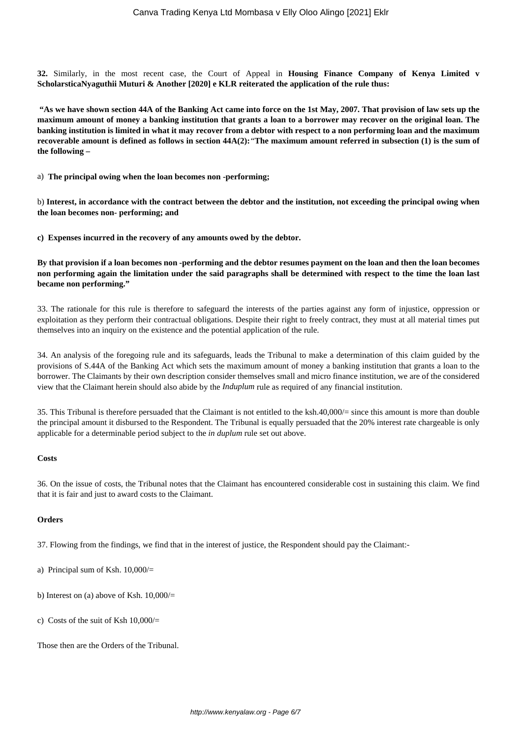**32.** Similarly, in the most recent case, the Court of Appeal in **Housing Finance Company of Kenya Limited v ScholarsticaNyaguthii Muturi & Another [2020] e KLR reiterated the application of the rule thus:** 

**"As we have shown section 44A of the Banking Act came into force on the 1st May, 2007. That provision of law sets up the maximum amount of money a banking institution that grants a loan to a borrower may recover on the original loan. The banking institution is limited in what it may recover from a debtor with respect to a non performing loan and the maximum recoverable amount is defined as follows in section 44A(2):***"***The maximum amount referred in subsection (1) is the sum of the following –**

a) **The principal owing when the loan becomes non -performing;**

b) **Interest, in accordance with the contract between the debtor and the institution, not exceeding the principal owing when the loan becomes non- performing; and**

**c) Expenses incurred in the recovery of any amounts owed by the debtor.**

**By that provision if a loan becomes non -performing and the debtor resumes payment on the loan and then the loan becomes non performing again the limitation under the said paragraphs shall be determined with respect to the time the loan last became non performing."**

33. The rationale for this rule is therefore to safeguard the interests of the parties against any form of injustice, oppression or exploitation as they perform their contractual obligations. Despite their right to freely contract, they must at all material times put themselves into an inquiry on the existence and the potential application of the rule.

34. An analysis of the foregoing rule and its safeguards, leads the Tribunal to make a determination of this claim guided by the provisions of S.44A of the Banking Act which sets the maximum amount of money a banking institution that grants a loan to the borrower. The Claimants by their own description consider themselves small and micro finance institution, we are of the considered view that the Claimant herein should also abide by the *Induplum* rule as required of any financial institution.

35. This Tribunal is therefore persuaded that the Claimant is not entitled to the ksh.40,000/= since this amount is more than double the principal amount it disbursed to the Respondent. The Tribunal is equally persuaded that the 20% interest rate chargeable is only applicable for a determinable period subject to the *in duplum* rule set out above.

#### **Costs**

36. On the issue of costs, the Tribunal notes that the Claimant has encountered considerable cost in sustaining this claim. We find that it is fair and just to award costs to the Claimant.

#### **Orders**

37. Flowing from the findings, we find that in the interest of justice, the Respondent should pay the Claimant:-

- a) Principal sum of Ksh. 10,000/=
- b) Interest on (a) above of Ksh.  $10,000/$ =
- c) Costs of the suit of Ksh 10,000/=

Those then are the Orders of the Tribunal.